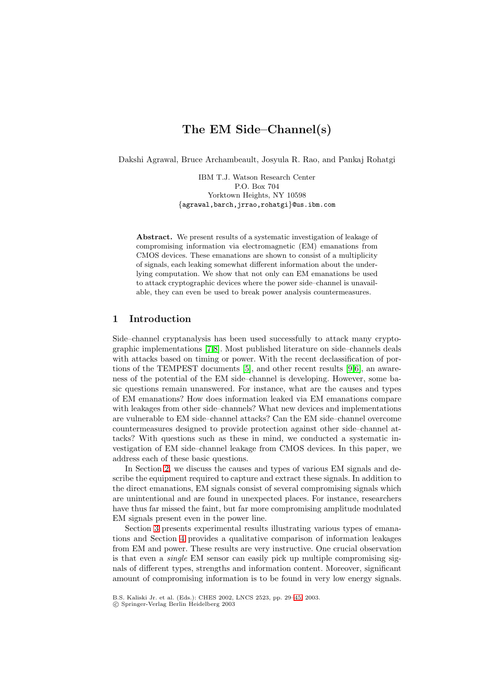# **The EM Side–Channel(s)**

Dakshi Agrawal, Bruce Archambeault, Josyula R. Rao, and Pankaj Rohatgi

IBM T.J. Watson Research Center P.O. Box 704 Yorktown Heights, NY 10598 {agrawal,barch,jrrao,rohatgi}@us.ibm.com

**Abstract.** We present results of a systematic investigation of leakage of compromising information via electromagnetic (EM) emanations from CMOS devices. These emanations are shown to consist of a multiplicity of signals, each leaking somewhat different information about the underlying computation. We show that not only can EM emanations be used to attack cryptographic devices where the power side–channel is unavailable, they can even be used to break power analysis countermeasures.

### **1 Introduction**

Side–channel cryptanalysis has been used successfully to attack many cryptographic implementations [\[7,8\]](#page-16-0). Most published literature on side–channels deals with attacks based on timing or power. With the recent declassification of portions of the TEMPEST documents [\[5\]](#page-16-0), and other recent results [\[9,6\]](#page-16-0), an awareness of the potential of the EM side–channel is developing. However, some basic questions remain unanswered. For instance, what are the causes and types of EM emanations? How does information leaked via EM emanations compare with leakages from other side–channels? What new devices and implementations are vulnerable to EM side–channel attacks? Can the EM side–channel overcome countermeasures designed to provide protection against other side–channel attacks? With questions such as these in mind, we conducted a systematic investigation of EM side–channel leakage from CMOS devices. In this paper, we address each of these basic questions.

In Section [2,](#page-1-0) we discuss the causes and types of various EM signals and describe the equipment required to capture and extract these signals. In addition to the direct emanations, EM signals consist of several compromising signals which are unintentional and are found in unexpected places. For instance, researchers have thus far missed the faint, but far more compromising amplitude modulated EM signals present even in the power line.

Section [3](#page-3-0) presents experimental results illustrating various types of emanations and Section [4](#page-7-0) provides a qualitative comparison of information leakages from EM and power. These results are very instructive. One crucial observation is that even a *single* EM sensor can easily pick up multiple compromising signals of different types, strengths and information content. Moreover, significant amount of compromising information is to be found in very low energy signals.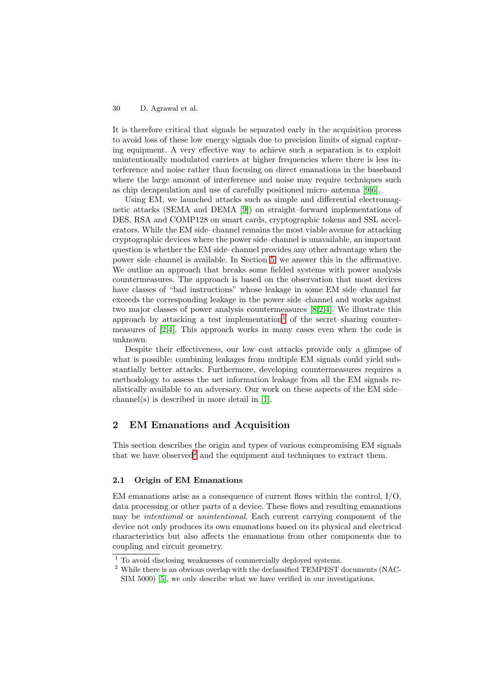<span id="page-1-0"></span>It is therefore critical that signals be separated early in the acquisition process to avoid loss of these low energy signals due to precision limits of signal capturing equipment. A very effective way to achieve such a separation is to exploit unintentionally modulated carriers at higher frequencies where there is less interference and noise rather than focusing on direct emanations in the baseband where the large amount of interference and noise may require techniques such as chip decapsulation and use of carefully positioned micro–antenna [\[9,6\]](#page-16-0).

Using EM, we launched attacks such as simple and differential electromagnetic attacks (SEMA and DEMA [\[9\]](#page-16-0)) on straight–forward implementations of DES, RSA and COMP128 on smart cards, cryptographic tokens and SSL accelerators. While the EM side–channel remains the most viable avenue for attacking cryptographic devices where the power side–channel is unavailable, an important question is whether the EM side–channel provides any other advantage when the power side–channel is available. In Section [5,](#page-11-0) we answer this in the affirmative. We outline an approach that breaks some fielded systems with power analysis countermeasures. The approach is based on the observation that most devices have classes of "bad instructions" whose leakage in some EM side–channel far exceeds the corresponding leakage in the power side–channel and works against two major classes of power analysis countermeasures [\[8,2,4\]](#page-16-0). We illustrate this approach by attacking a test implementation<sup>1</sup> of the secret–sharing countermeasures of [\[2,4\]](#page-16-0). This approach works in many cases even when the code is unknown.

Despite their effectiveness, our low–cost attacks provide only a glimpse of what is possible: combining leakages from multiple EM signals could yield substantially better attacks. Furthermore, developing countermeasures requires a methodology to assess the net information leakage from all the EM signals realistically available to an adversary. Our work on these aspects of the EM side– channel(s) is described in more detail in [\[1\]](#page-16-0).

## **2 EM Emanations and Acquisition**

This section describes the origin and types of various compromising EM signals that we have observed<sup>2</sup> and the equipment and techniques to extract them.

## **2.1 Origin of EM Emanations**

EM emanations arise as a consequence of current flows within the control, I/O, data processing or other parts of a device. These flows and resulting emanations may be *intentional* or *unintentional*. Each current carrying component of the device not only produces its own emanations based on its physical and electrical characteristics but also affects the emanations from other components due to coupling and circuit geometry.

 $^{\rm 1}$  To avoid disclosing weaknesses of commercially deployed systems.

<sup>&</sup>lt;sup>2</sup> While there is an obvious overlap with the declassified TEMPEST documents (NAC-SIM 5000) [\[5\]](#page-16-0), we only describe what we have verified in our investigations.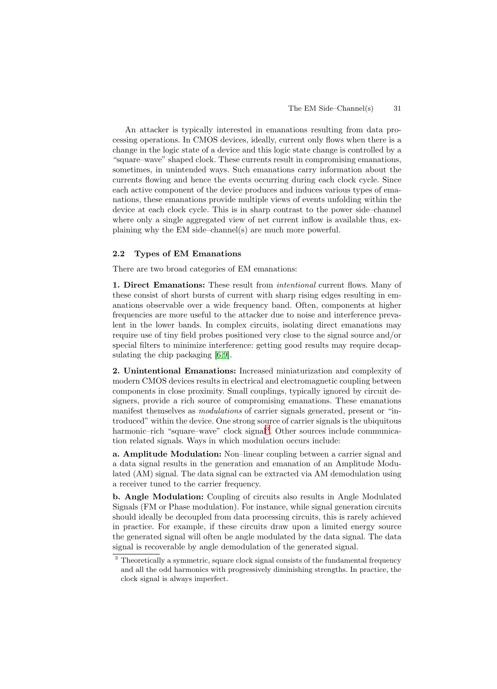An attacker is typically interested in emanations resulting from data processing operations. In CMOS devices, ideally, current only flows when there is a change in the logic state of a device and this logic state change is controlled by a "square–wave" shaped clock. These currents result in compromising emanations, sometimes, in unintended ways. Such emanations carry information about the currents flowing and hence the events occurring during each clock cycle. Since each active component of the device produces and induces various types of emanations, these emanations provide multiple views of events unfolding within the device at each clock cycle. This is in sharp contrast to the power side–channel where only a single aggregated view of net current inflow is available thus, explaining why the EM side–channel(s) are much more powerful.

#### **2.2 Types of EM Emanations**

There are two broad categories of EM emanations:

**1. Direct Emanations:** These result from *intentional* current flows. Many of these consist of short bursts of current with sharp rising edges resulting in emanations observable over a wide frequency band. Often, components at higher frequencies are more useful to the attacker due to noise and interference prevalent in the lower bands. In complex circuits, isolating direct emanations may require use of tiny field probes positioned very close to the signal source and/or special filters to minimize interference: getting good results may require decapsulating the chip packaging [\[6,9\]](#page-16-0).

**2. Unintentional Emanations:** Increased miniaturization and complexity of modern CMOS devices results in electrical and electromagnetic coupling between components in close proximity. Small couplings, typically ignored by circuit designers, provide a rich source of compromising emanations. These emanations manifest themselves as *modulations* of carrier signals generated, present or "introduced" within the device. One strong source of carrier signals is the ubiquitous harmonic–rich "square–wave" clock signal<sup>3</sup>. Other sources include communication related signals. Ways in which modulation occurs include:

**a. Amplitude Modulation:** Non–linear coupling between a carrier signal and a data signal results in the generation and emanation of an Amplitude Modulated (AM) signal. The data signal can be extracted via AM demodulation using a receiver tuned to the carrier frequency.

**b. Angle Modulation:** Coupling of circuits also results in Angle Modulated Signals (FM or Phase modulation). For instance, while signal generation circuits should ideally be decoupled from data processing circuits, this is rarely achieved in practice. For example, if these circuits draw upon a limited energy source the generated signal will often be angle modulated by the data signal. The data signal is recoverable by angle demodulation of the generated signal.

<sup>3</sup> Theoretically a symmetric, square clock signal consists of the fundamental frequency and all the odd harmonics with progressively diminishing strengths. In practice, the clock signal is always imperfect.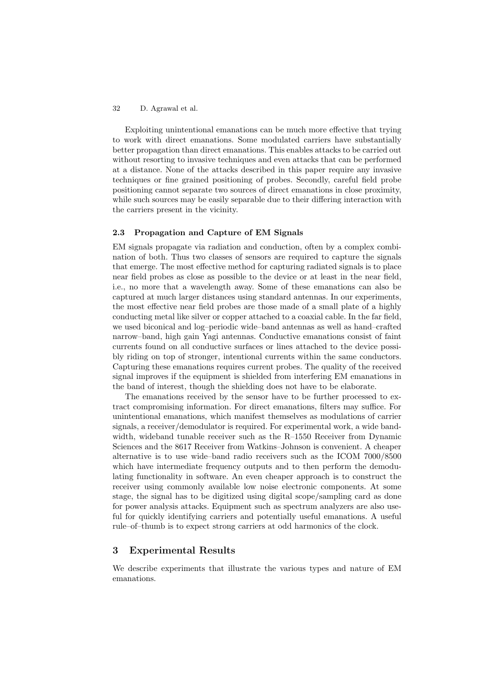<span id="page-3-0"></span>Exploiting unintentional emanations can be much more effective that trying to work with direct emanations. Some modulated carriers have substantially better propagation than direct emanations. This enables attacks to be carried out without resorting to invasive techniques and even attacks that can be performed at a distance. None of the attacks described in this paper require any invasive techniques or fine grained positioning of probes. Secondly, careful field probe positioning cannot separate two sources of direct emanations in close proximity, while such sources may be easily separable due to their differing interaction with the carriers present in the vicinity.

#### **2.3 Propagation and Capture of EM Signals**

EM signals propagate via radiation and conduction, often by a complex combination of both. Thus two classes of sensors are required to capture the signals that emerge. The most effective method for capturing radiated signals is to place near field probes as close as possible to the device or at least in the near field, i.e., no more that a wavelength away. Some of these emanations can also be captured at much larger distances using standard antennas. In our experiments, the most effective near field probes are those made of a small plate of a highly conducting metal like silver or copper attached to a coaxial cable. In the far field, we used biconical and log–periodic wide–band antennas as well as hand–crafted narrow–band, high gain Yagi antennas. Conductive emanations consist of faint currents found on all conductive surfaces or lines attached to the device possibly riding on top of stronger, intentional currents within the same conductors. Capturing these emanations requires current probes. The quality of the received signal improves if the equipment is shielded from interfering EM emanations in the band of interest, though the shielding does not have to be elaborate.

The emanations received by the sensor have to be further processed to extract compromising information. For direct emanations, filters may suffice. For unintentional emanations, which manifest themselves as modulations of carrier signals, a receiver/demodulator is required. For experimental work, a wide bandwidth, wideband tunable receiver such as the R–1550 Receiver from Dynamic Sciences and the 8617 Receiver from Watkins–Johnson is convenient. A cheaper alternative is to use wide–band radio receivers such as the ICOM 7000/8500 which have intermediate frequency outputs and to then perform the demodulating functionality in software. An even cheaper approach is to construct the receiver using commonly available low noise electronic components. At some stage, the signal has to be digitized using digital scope/sampling card as done for power analysis attacks. Equipment such as spectrum analyzers are also useful for quickly identifying carriers and potentially useful emanations. A useful rule–of–thumb is to expect strong carriers at odd harmonics of the clock.

## **3 Experimental Results**

We describe experiments that illustrate the various types and nature of EM emanations.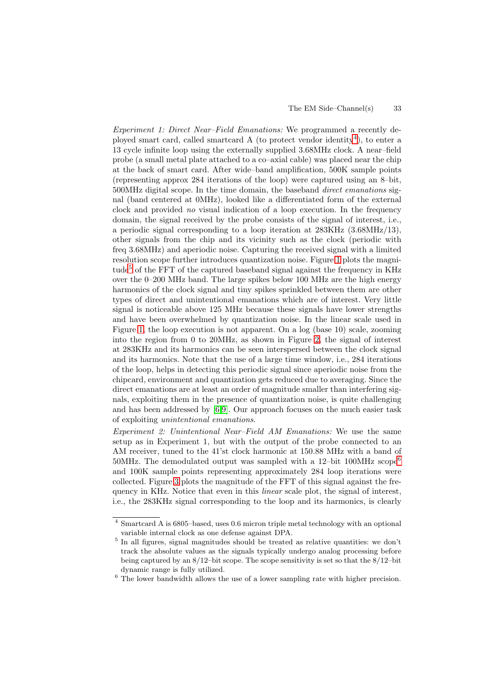*Experiment 1: Direct Near–Field Emanations:* We programmed a recently deployed smart card, called smartcard A (to protect vendor identity<sup>4</sup>), to enter a 13 cycle infinite loop using the externally supplied 3.68MHz clock. A near–field probe (a small metal plate attached to a co–axial cable) was placed near the chip at the back of smart card. After wide–band amplification, 500K sample points (representing approx 284 iterations of the loop) were captured using an 8–bit, 500MHz digital scope. In the time domain, the baseband *direct emanations* signal (band centered at 0MHz), looked like a differentiated form of the external clock and provided *no* visual indication of a loop execution. In the frequency domain, the signal received by the probe consists of the signal of interest, i.e., a periodic signal corresponding to a loop iteration at 283KHz (3.68MHz/13), other signals from the chip and its vicinity such as the clock (periodic with freq 3.68MHz) and aperiodic noise. Capturing the received signal with a limited resolution scope further introduces quantization noise. Figure [1](#page-5-0) plots the magnitude<sup>5</sup> of the FFT of the captured baseband signal against the frequency in KHz over the 0–200 MHz band. The large spikes below 100 MHz are the high energy harmonics of the clock signal and tiny spikes sprinkled between them are other types of direct and unintentional emanations which are of interest. Very little signal is noticeable above 125 MHz because these signals have lower strengths and have been overwhelmed by quantization noise. In the linear scale used in Figure [1,](#page-5-0) the loop execution is not apparent. On a log (base 10) scale, zooming into the region from 0 to 20MHz, as shown in Figure [2,](#page-5-0) the signal of interest at 283KHz and its harmonics can be seen interspersed between the clock signal and its harmonics. Note that the use of a large time window, i.e., 284 iterations of the loop, helps in detecting this periodic signal since aperiodic noise from the chipcard, environment and quantization gets reduced due to averaging. Since the direct emanations are at least an order of magnitude smaller than interfering signals, exploiting them in the presence of quantization noise, is quite challenging and has been addressed by [\[6,9\]](#page-16-0). Our approach focuses on the much easier task of exploiting *unintentional emanations*.

*Experiment 2: Unintentional Near–Field AM Emanations:* We use the same setup as in Experiment 1, but with the output of the probe connected to an AM receiver, tuned to the 41'st clock harmonic at 150.88 MHz with a band of  $50MHz$ . The demodulated output was sampled with a 12-bit 100MHz scope<sup>6</sup> and 100K sample points representing approximately 284 loop iterations were collected. Figure [3](#page-5-0) plots the magnitude of the FFT of this signal against the frequency in KHz. Notice that even in this *linear* scale plot, the signal of interest, i.e., the 283KHz signal corresponding to the loop and its harmonics, is clearly

<sup>4</sup> Smartcard A is 6805–based, uses 0.6 micron triple metal technology with an optional variable internal clock as one defense against DPA.

<sup>&</sup>lt;sup>5</sup> In all figures, signal magnitudes should be treated as relative quantities: we don't track the absolute values as the signals typically undergo analog processing before being captured by an 8/12–bit scope. The scope sensitivity is set so that the 8/12–bit dynamic range is fully utilized.

 $6$  The lower bandwidth allows the use of a lower sampling rate with higher precision.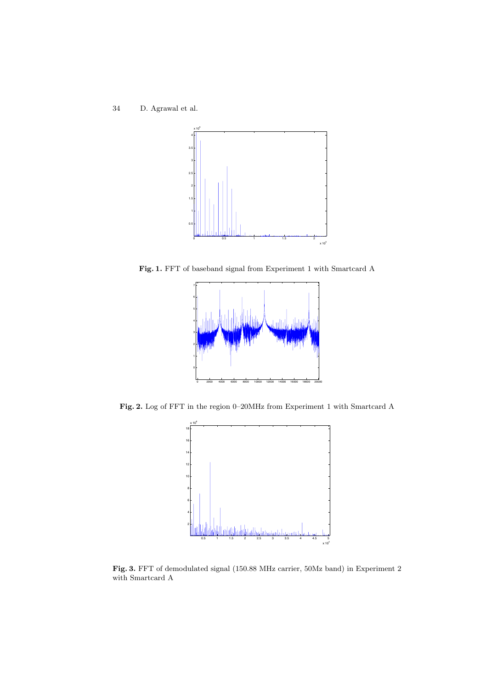<span id="page-5-0"></span>

**Fig. 1.** FFT of baseband signal from Experiment 1 with Smartcard A



**Fig. 2.** Log of FFT in the region 0–20MHz from Experiment 1 with Smartcard A



**Fig. 3.** FFT of demodulated signal (150.88 MHz carrier, 50Mz band) in Experiment 2 with Smartcard A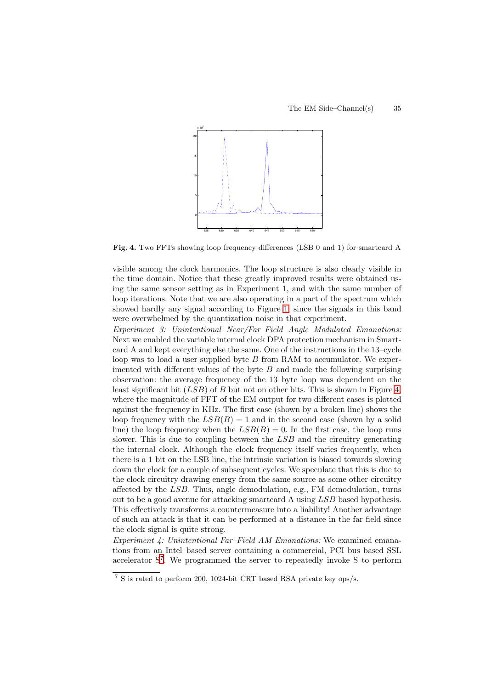

**Fig. 4.** Two FFTs showing loop frequency differences (LSB 0 and 1) for smartcard A

visible among the clock harmonics. The loop structure is also clearly visible in the time domain. Notice that these greatly improved results were obtained using the same sensor setting as in Experiment 1, and with the same number of loop iterations. Note that we are also operating in a part of the spectrum which showed hardly any signal according to Figure [1;](#page-5-0) since the signals in this band were overwhelmed by the quantization noise in that experiment.

*Experiment 3: Unintentional Near/Far–Field Angle Modulated Emanations:* Next we enabled the variable internal clock DPA protection mechanism in Smartcard A and kept everything else the same. One of the instructions in the 13–cycle loop was to load a user supplied byte  $B$  from RAM to accumulator. We experimented with different values of the byte  $B$  and made the following surprising observation: the average frequency of the 13–byte loop was dependent on the least significant bit  $(LSB)$  of B but not on other bits. This is shown in Figure 4, where the magnitude of FFT of the EM output for two different cases is plotted against the frequency in KHz. The first case (shown by a broken line) shows the loop frequency with the  $LSB(B) = 1$  and in the second case (shown by a solid line) the loop frequency when the  $LSB(B) = 0$ . In the first case, the loop runs slower. This is due to coupling between the LSB and the circuitry generating the internal clock. Although the clock frequency itself varies frequently, when there is a 1 bit on the LSB line, the intrinsic variation is biased towards slowing down the clock for a couple of subsequent cycles. We speculate that this is due to the clock circuitry drawing energy from the same source as some other circuitry affected by the LSB. Thus, angle demodulation, e.g., FM demodulation, turns out to be a good avenue for attacking smartcard A using LSB based hypothesis. This effectively transforms a countermeasure into a liability! Another advantage of such an attack is that it can be performed at a distance in the far field since the clock signal is quite strong.

*Experiment 4: Unintentional Far–Field AM Emanations:* We examined emanations from an Intel–based server containing a commercial, PCI bus based SSL accelerator S<sup>7</sup>. We programmed the server to repeatedly invoke S to perform

S is rated to perform 200, 1024-bit CRT based RSA private key ops/s.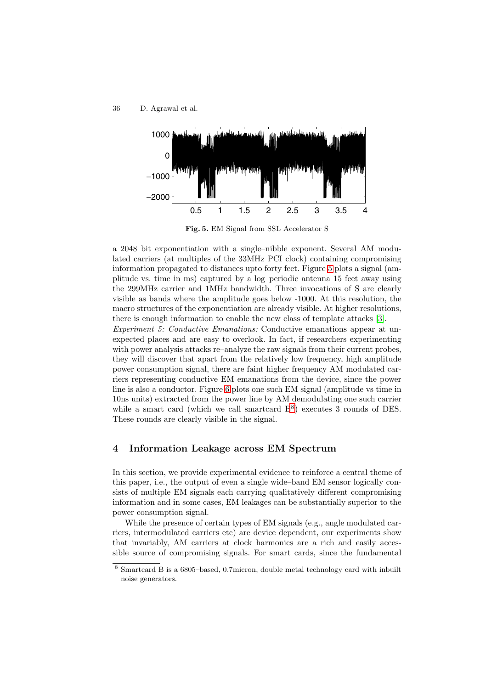<span id="page-7-0"></span>

**Fig. 5.** EM Signal from SSL Accelerator S

a 2048 bit exponentiation with a single–nibble exponent. Several AM modulated carriers (at multiples of the 33MHz PCI clock) containing compromising information propagated to distances upto forty feet. Figure 5 plots a signal (amplitude vs. time in ms) captured by a log–periodic antenna 15 feet away using the 299MHz carrier and 1MHz bandwidth. Three invocations of S are clearly visible as bands where the amplitude goes below -1000. At this resolution, the macro structures of the exponentiation are already visible. At higher resolutions, there is enough information to enable the new class of template attacks [\[3\]](#page-16-0).

*Experiment 5: Conductive Emanations:* Conductive emanations appear at unexpected places and are easy to overlook. In fact, if researchers experimenting with power analysis attacks re–analyze the raw signals from their current probes, they will discover that apart from the relatively low frequency, high amplitude power consumption signal, there are faint higher frequency AM modulated carriers representing conductive EM emanations from the device, since the power line is also a conductor. Figure [6](#page-8-0) plots one such EM signal (amplitude vs time in 10ns units) extracted from the power line by AM demodulating one such carrier while a smart card (which we call smartcard  $B^8$ ) executes 3 rounds of DES. These rounds are clearly visible in the signal.

### **4 Information Leakage across EM Spectrum**

In this section, we provide experimental evidence to reinforce a central theme of this paper, i.e., the output of even a single wide–band EM sensor logically consists of multiple EM signals each carrying qualitatively different compromising information and in some cases, EM leakages can be substantially superior to the power consumption signal.

While the presence of certain types of EM signals (e.g., angle modulated carriers, intermodulated carriers etc) are device dependent, our experiments show that invariably, AM carriers at clock harmonics are a rich and easily accessible source of compromising signals. For smart cards, since the fundamental

<sup>8</sup> Smartcard B is a 6805–based, 0.7micron, double metal technology card with inbuilt noise generators.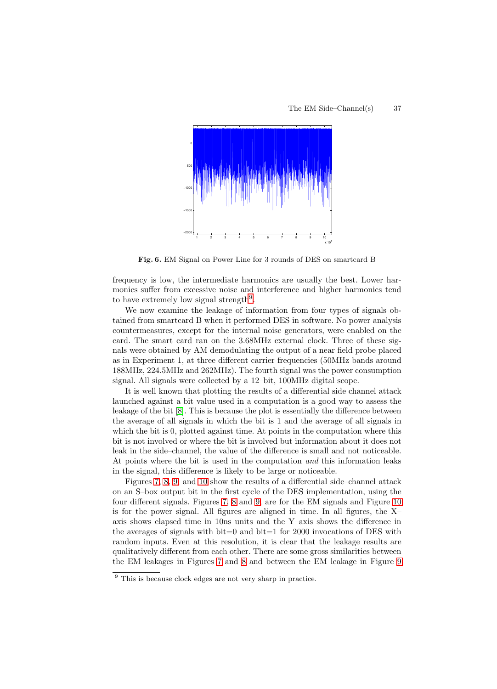<span id="page-8-0"></span>

**Fig. 6.** EM Signal on Power Line for 3 rounds of DES on smartcard B

frequency is low, the intermediate harmonics are usually the best. Lower harmonics suffer from excessive noise and interference and higher harmonics tend to have extremely low signal strength<sup>9</sup>.

We now examine the leakage of information from four types of signals obtained from smartcard B when it performed DES in software. No power analysis countermeasures, except for the internal noise generators, were enabled on the card. The smart card ran on the 3.68MHz external clock. Three of these signals were obtained by AM demodulating the output of a near field probe placed as in Experiment 1, at three different carrier frequencies (50MHz bands around 188MHz, 224.5MHz and 262MHz). The fourth signal was the power consumption signal. All signals were collected by a 12–bit, 100MHz digital scope.

It is well known that plotting the results of a differential side channel attack launched against a bit value used in a computation is a good way to assess the leakage of the bit [\[8\]](#page-16-0). This is because the plot is essentially the difference between the average of all signals in which the bit is 1 and the average of all signals in which the bit is 0, plotted against time. At points in the computation where this bit is not involved or where the bit is involved but information about it does not leak in the side–channel, the value of the difference is small and not noticeable. At points where the bit is used in the computation *and* this information leaks in the signal, this difference is likely to be large or noticeable.

Figures [7, 8, 9,](#page-9-0) and [10](#page-10-0) show the results of a differential side–channel attack on an S–box output bit in the first cycle of the DES implementation, using the four different signals. Figures [7, 8](#page-9-0) and [9,](#page-9-0) are for the EM signals and Figure [10](#page-10-0) is for the power signal. All figures are aligned in time. In all figures, the X– axis shows elapsed time in 10ns units and the Y–axis shows the difference in the averages of signals with bit=0 and bit=1 for 2000 invocations of DES with random inputs. Even at this resolution, it is clear that the leakage results are qualitatively different from each other. There are some gross similarities between the EM leakages in Figures [7](#page-9-0) and [8](#page-9-0) and between the EM leakage in Figure [9](#page-9-0)

This is because clock edges are not very sharp in practice.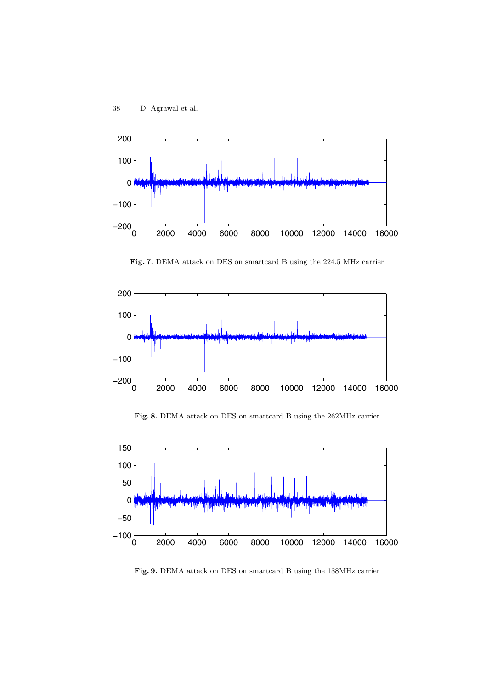<span id="page-9-0"></span>

**Fig. 7.** DEMA attack on DES on smartcard B using the 224.5 MHz carrier



**Fig. 8.** DEMA attack on DES on smartcard B using the 262MHz carrier



**Fig. 9.** DEMA attack on DES on smartcard B using the 188MHz carrier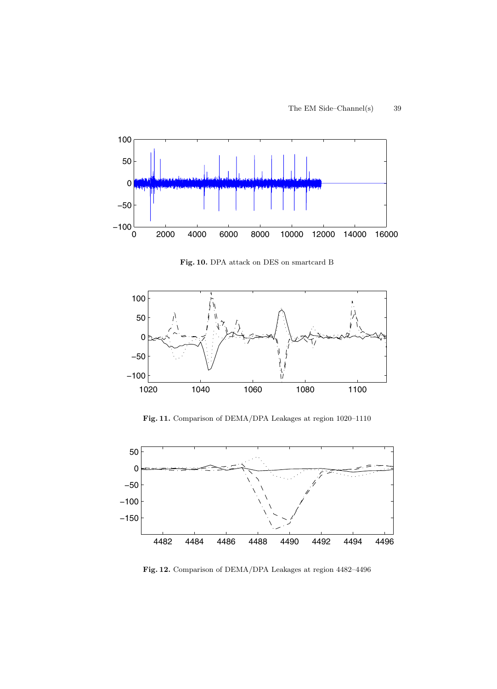<span id="page-10-0"></span>

**Fig. 10.** DPA attack on DES on smartcard B



**Fig. 11.** Comparison of DEMA/DPA Leakages at region 1020–1110



**Fig. 12.** Comparison of DEMA/DPA Leakages at region 4482–4496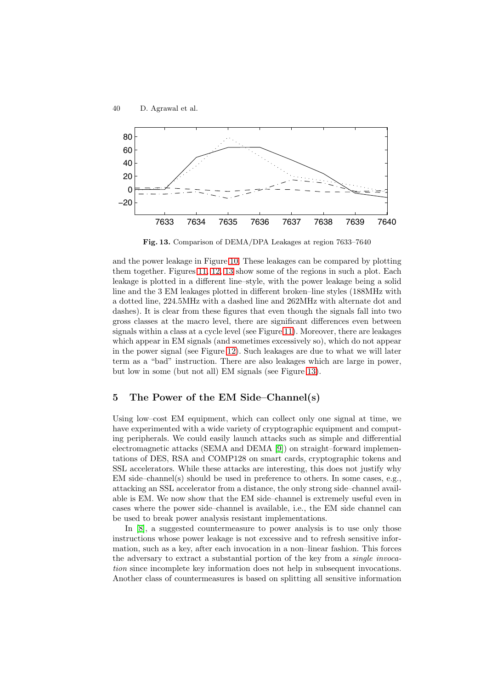<span id="page-11-0"></span>

**Fig. 13.** Comparison of DEMA/DPA Leakages at region 7633–7640

and the power leakage in Figure [10.](#page-10-0) These leakages can be compared by plotting them together. Figures [11, 12,](#page-10-0) 13 show some of the regions in such a plot. Each leakage is plotted in a different line–style, with the power leakage being a solid line and the 3 EM leakages plotted in different broken–line styles (188MHz with a dotted line, 224.5MHz with a dashed line and 262MHz with alternate dot and dashes). It is clear from these figures that even though the signals fall into two gross classes at the macro level, there are significant differences even between signals within a class at a cycle level (see Figure [11\)](#page-10-0). Moreover, there are leakages which appear in EM signals (and sometimes excessively so), which do not appear in the power signal (see Figure [12\)](#page-10-0). Such leakages are due to what we will later term as a "bad" instruction. There are also leakages which are large in power, but low in some (but not all) EM signals (see Figure 13).

## **5 The Power of the EM Side–Channel(s)**

Using low–cost EM equipment, which can collect only one signal at time, we have experimented with a wide variety of cryptographic equipment and computing peripherals. We could easily launch attacks such as simple and differential electromagnetic attacks (SEMA and DEMA [\[9\]](#page-16-0)) on straight–forward implementations of DES, RSA and COMP128 on smart cards, cryptographic tokens and SSL accelerators. While these attacks are interesting, this does not justify why EM side–channel(s) should be used in preference to others. In some cases, e.g., attacking an SSL accelerator from a distance, the only strong side–channel available is EM. We now show that the EM side–channel is extremely useful even in cases where the power side–channel is available, i.e., the EM side channel can be used to break power analysis resistant implementations.

In [\[8\]](#page-16-0), a suggested countermeasure to power analysis is to use only those instructions whose power leakage is not excessive and to refresh sensitive information, such as a key, after each invocation in a non–linear fashion. This forces the adversary to extract a substantial portion of the key from a *single invocation* since incomplete key information does not help in subsequent invocations. Another class of countermeasures is based on splitting all sensitive information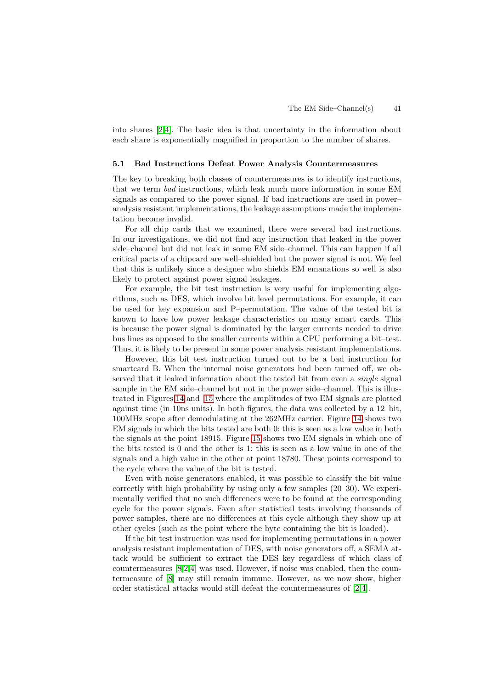<span id="page-12-0"></span>into shares [\[2,4\]](#page-16-0). The basic idea is that uncertainty in the information about each share is exponentially magnified in proportion to the number of shares.

#### **5.1 Bad Instructions Defeat Power Analysis Countermeasures**

The key to breaking both classes of countermeasures is to identify instructions, that we term *bad* instructions, which leak much more information in some EM signals as compared to the power signal. If bad instructions are used in power– analysis resistant implementations, the leakage assumptions made the implementation become invalid.

For all chip cards that we examined, there were several bad instructions. In our investigations, we did not find any instruction that leaked in the power side–channel but did not leak in some EM side–channel. This can happen if all critical parts of a chipcard are well–shielded but the power signal is not. We feel that this is unlikely since a designer who shields EM emanations so well is also likely to protect against power signal leakages.

For example, the bit test instruction is very useful for implementing algorithms, such as DES, which involve bit level permutations. For example, it can be used for key expansion and P–permutation. The value of the tested bit is known to have low power leakage characteristics on many smart cards. This is because the power signal is dominated by the larger currents needed to drive bus lines as opposed to the smaller currents within a CPU performing a bit–test. Thus, it is likely to be present in some power analysis resistant implementations.

However, this bit test instruction turned out to be a bad instruction for smartcard B. When the internal noise generators had been turned off, we observed that it leaked information about the tested bit from even a *single* signal sample in the EM side–channel but not in the power side–channel. This is illustrated in Figures [14](#page-13-0) and [15](#page-14-0) where the amplitudes of two EM signals are plotted against time (in 10ns units). In both figures, the data was collected by a 12–bit, 100MHz scope after demodulating at the 262MHz carrier. Figure [14](#page-13-0) shows two EM signals in which the bits tested are both 0: this is seen as a low value in both the signals at the point 18915. Figure [15](#page-14-0) shows two EM signals in which one of the bits tested is 0 and the other is 1: this is seen as a low value in one of the signals and a high value in the other at point 18780. These points correspond to the cycle where the value of the bit is tested.

Even with noise generators enabled, it was possible to classify the bit value correctly with high probability by using only a few samples (20–30). We experimentally verified that no such differences were to be found at the corresponding cycle for the power signals. Even after statistical tests involving thousands of power samples, there are no differences at this cycle although they show up at other cycles (such as the point where the byte containing the bit is loaded).

If the bit test instruction was used for implementing permutations in a power analysis resistant implementation of DES, with noise generators off, a SEMA attack would be sufficient to extract the DES key regardless of which class of countermeasures [\[8,2,4\]](#page-16-0) was used. However, if noise was enabled, then the countermeasure of [\[8\]](#page-16-0) may still remain immune. However, as we now show, higher order statistical attacks would still defeat the countermeasures of [\[2,4\]](#page-16-0).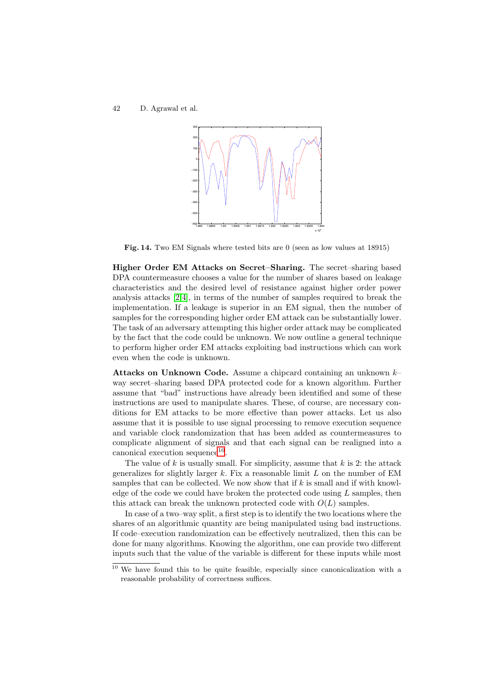<span id="page-13-0"></span>

**Fig. 14.** Two EM Signals where tested bits are 0 (seen as low values at 18915)

**Higher Order EM Attacks on Secret–Sharing.** The secret–sharing based DPA countermeasure chooses a value for the number of shares based on leakage characteristics and the desired level of resistance against higher order power analysis attacks [\[2,4\]](#page-16-0), in terms of the number of samples required to break the implementation. If a leakage is superior in an EM signal, then the number of samples for the corresponding higher order EM attack can be substantially lower. The task of an adversary attempting this higher order attack may be complicated by the fact that the code could be unknown. We now outline a general technique to perform higher order EM attacks exploiting bad instructions which can work even when the code is unknown.

**Attacks on Unknown Code.** Assume a chipcard containing an unknown k– way secret–sharing based DPA protected code for a known algorithm. Further assume that "bad" instructions have already been identified and some of these instructions are used to manipulate shares. These, of course, are necessary conditions for EM attacks to be more effective than power attacks. Let us also assume that it is possible to use signal processing to remove execution sequence and variable clock randomization that has been added as countermeasures to complicate alignment of signals and that each signal can be realigned into a canonical execution sequence<sup>10</sup>.

The value of  $k$  is usually small. For simplicity, assume that  $k$  is 2: the attack generalizes for slightly larger k. Fix a reasonable limit  $L$  on the number of EM samples that can be collected. We now show that if  $k$  is small and if with knowledge of the code we could have broken the protected code using  $L$  samples, then this attack can break the unknown protected code with  $O(L)$  samples.

In case of a two–way split, a first step is to identify the two locations where the shares of an algorithmic quantity are being manipulated using bad instructions. If code–execution randomization can be effectively neutralized, then this can be done for many algorithms. Knowing the algorithm, one can provide two different inputs such that the value of the variable is different for these inputs while most

 $10$  We have found this to be quite feasible, especially since canonicalization with a reasonable probability of correctness suffices.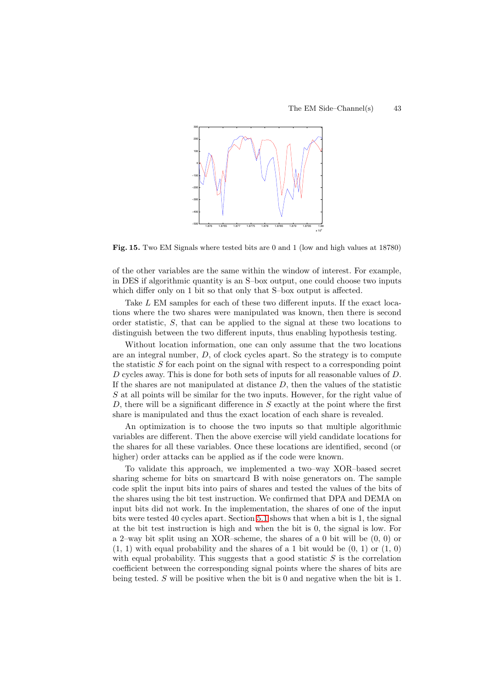<span id="page-14-0"></span>

**Fig. 15.** Two EM Signals where tested bits are 0 and 1 (low and high values at 18780)

of the other variables are the same within the window of interest. For example, in DES if algorithmic quantity is an S–box output, one could choose two inputs which differ only on 1 bit so that only that S–box output is affected.

Take L EM samples for each of these two different inputs. If the exact locations where the two shares were manipulated was known, then there is second order statistic, S, that can be applied to the signal at these two locations to distinguish between the two different inputs, thus enabling hypothesis testing.

Without location information, one can only assume that the two locations are an integral number,  $D$ , of clock cycles apart. So the strategy is to compute the statistic  $S$  for each point on the signal with respect to a corresponding point D cycles away. This is done for both sets of inputs for all reasonable values of D. If the shares are not manipulated at distance  $D$ , then the values of the statistic S at all points will be similar for the two inputs. However, for the right value of  $D$ , there will be a significant difference in  $S$  exactly at the point where the first share is manipulated and thus the exact location of each share is revealed.

An optimization is to choose the two inputs so that multiple algorithmic variables are different. Then the above exercise will yield candidate locations for the shares for all these variables. Once these locations are identified, second (or higher) order attacks can be applied as if the code were known.

To validate this approach, we implemented a two–way XOR–based secret sharing scheme for bits on smartcard B with noise generators on. The sample code split the input bits into pairs of shares and tested the values of the bits of the shares using the bit test instruction. We confirmed that DPA and DEMA on input bits did not work. In the implementation, the shares of one of the input bits were tested 40 cycles apart. Section [5.1](#page-12-0) shows that when a bit is 1, the signal at the bit test instruction is high and when the bit is 0, the signal is low. For a 2–way bit split using an XOR–scheme, the shares of a 0 bit will be (0, 0) or  $(1, 1)$  with equal probability and the shares of a 1 bit would be  $(0, 1)$  or  $(1, 0)$ with equal probability. This suggests that a good statistic  $S$  is the correlation coefficient between the corresponding signal points where the shares of bits are being tested. S will be positive when the bit is 0 and negative when the bit is 1.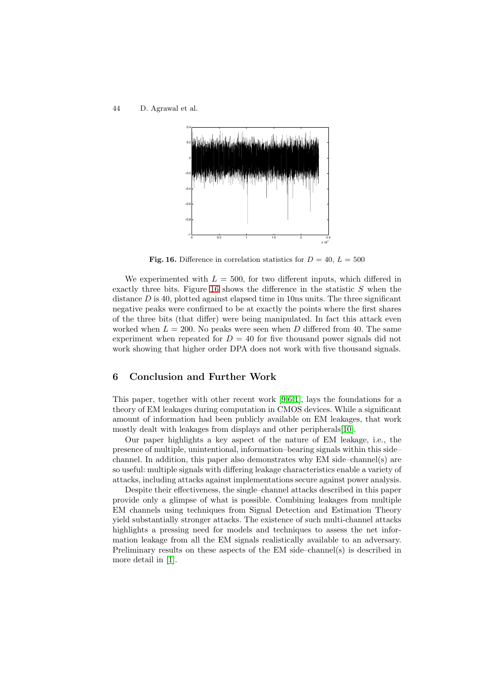<span id="page-15-0"></span>

**Fig. 16.** Difference in correlation statistics for  $D = 40, L = 500$ 

We experimented with  $L = 500$ , for two different inputs, which differed in exactly three bits. Figure 16 shows the difference in the statistic  $S$  when the distance  $D$  is 40, plotted against elapsed time in 10ns units. The three significant negative peaks were confirmed to be at exactly the points where the first shares of the three bits (that differ) were being manipulated. In fact this attack even worked when  $L = 200$ . No peaks were seen when D differed from 40. The same experiment when repeated for  $D = 40$  for five thousand power signals did not work showing that higher order DPA does not work with five thousand signals.

#### **6 Conclusion and Further Work**

This paper, together with other recent work [\[9,6,1\]](#page-16-0), lays the foundations for a theory of EM leakages during computation in CMOS devices. While a significant amount of information had been publicly available on EM leakages, that work mostly dealt with leakages from displays and other peripherals[\[10\]](#page-16-0).

Our paper highlights a key aspect of the nature of EM leakage, i.e., the presence of multiple, unintentional, information–bearing signals within this side– channel. In addition, this paper also demonstrates why EM side–channel(s) are so useful: multiple signals with differing leakage characteristics enable a variety of attacks, including attacks against implementations secure against power analysis.

Despite their effectiveness, the single–channel attacks described in this paper provide only a glimpse of what is possible. Combining leakages from multiple EM channels using techniques from Signal Detection and Estimation Theory yield substantially stronger attacks. The existence of such multi-channel attacks highlights a pressing need for models and techniques to assess the net information leakage from all the EM signals realistically available to an adversary. Preliminary results on these aspects of the EM side–channel(s) is described in more detail in [\[1\]](#page-16-0).